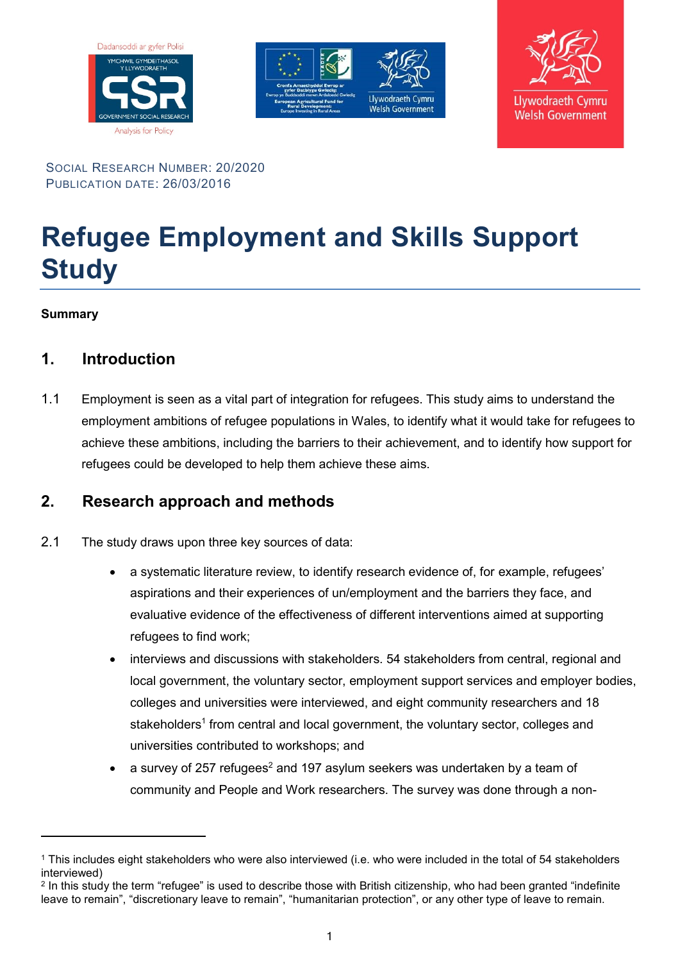





SOCIAL RESEARCH NUMBER: 20/2020 PUBLICATION DATE: 26/03/2016

# **Refugee Employment and Skills Support Study**

#### **Summary**

 $\overline{\phantom{a}}$ 

#### **1. Introduction**

1.1 Employment is seen as a vital part of integration for refugees. This study aims to understand the employment ambitions of refugee populations in Wales, to identify what it would take for refugees to achieve these ambitions, including the barriers to their achievement, and to identify how support for refugees could be developed to help them achieve these aims.

### **2. Research approach and methods**

- 2.1 The study draws upon three key sources of data:
	- a systematic literature review, to identify research evidence of, for example, refugees' aspirations and their experiences of un/employment and the barriers they face, and evaluative evidence of the effectiveness of different interventions aimed at supporting refugees to find work;
	- interviews and discussions with stakeholders. 54 stakeholders from central, regional and local government, the voluntary sector, employment support services and employer bodies, colleges and universities were interviewed, and eight community researchers and 18 stakeholders<sup>1</sup> from central and local government, the voluntary sector, colleges and universities contributed to workshops; and
	- a survey of 257 refugees<sup>2</sup> and 197 asylum seekers was undertaken by a team of community and People and Work researchers. The survey was done through a non-

<sup>1</sup> This includes eight stakeholders who were also interviewed (i.e. who were included in the total of 54 stakeholders interviewed)

<sup>2</sup> In this study the term "refugee" is used to describe those with British citizenship, who had been granted "indefinite leave to remain", "discretionary leave to remain", "humanitarian protection", or any other type of leave to remain.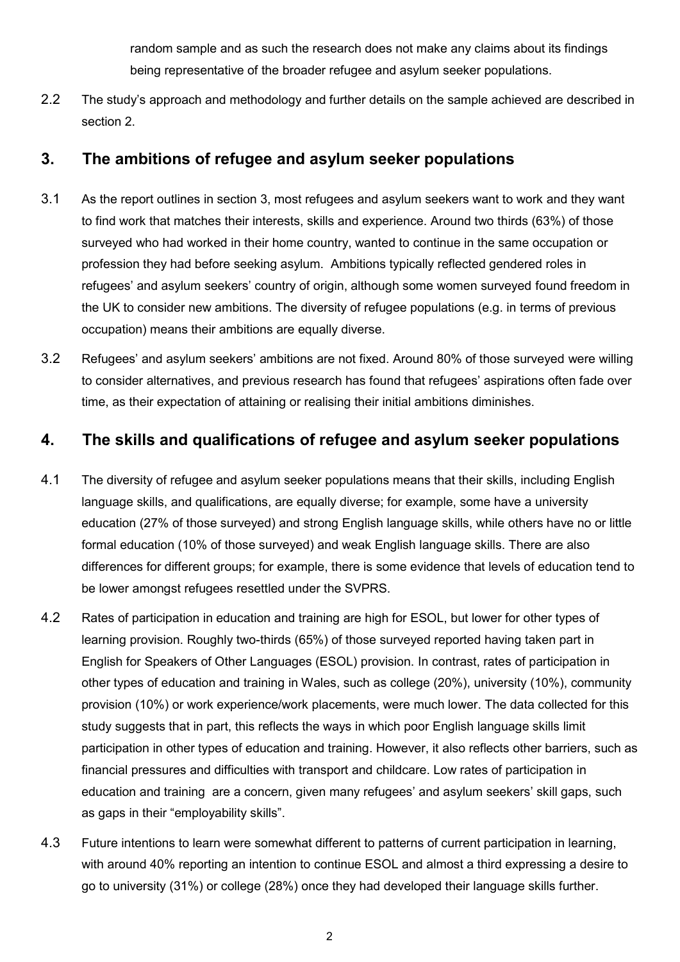random sample and as such the research does not make any claims about its findings being representative of the broader refugee and asylum seeker populations.

2.2 The study's approach and methodology and further details on the sample achieved are described in section 2.

#### **3. The ambitions of refugee and asylum seeker populations**

- 3.1 As the report outlines in section 3, most refugees and asylum seekers want to work and they want to find work that matches their interests, skills and experience. Around two thirds (63%) of those surveyed who had worked in their home country, wanted to continue in the same occupation or profession they had before seeking asylum. Ambitions typically reflected gendered roles in refugees' and asylum seekers' country of origin, although some women surveyed found freedom in the UK to consider new ambitions. The diversity of refugee populations (e.g. in terms of previous occupation) means their ambitions are equally diverse.
- 3.2 Refugees' and asylum seekers' ambitions are not fixed. Around 80% of those surveyed were willing to consider alternatives, and previous research has found that refugees' aspirations often fade over time, as their expectation of attaining or realising their initial ambitions diminishes.

#### **4. The skills and qualifications of refugee and asylum seeker populations**

- 4.1 The diversity of refugee and asylum seeker populations means that their skills, including English language skills, and qualifications, are equally diverse; for example, some have a university education (27% of those surveyed) and strong English language skills, while others have no or little formal education (10% of those surveyed) and weak English language skills. There are also differences for different groups; for example, there is some evidence that levels of education tend to be lower amongst refugees resettled under the SVPRS.
- 4.2 Rates of participation in education and training are high for ESOL, but lower for other types of learning provision. Roughly two-thirds (65%) of those surveyed reported having taken part in English for Speakers of Other Languages (ESOL) provision. In contrast, rates of participation in other types of education and training in Wales, such as college (20%), university (10%), community provision (10%) or work experience/work placements, were much lower. The data collected for this study suggests that in part, this reflects the ways in which poor English language skills limit participation in other types of education and training. However, it also reflects other barriers, such as financial pressures and difficulties with transport and childcare. Low rates of participation in education and training are a concern, given many refugees' and asylum seekers' skill gaps, such as gaps in their "employability skills".
- 4.3 Future intentions to learn were somewhat different to patterns of current participation in learning, with around 40% reporting an intention to continue ESOL and almost a third expressing a desire to go to university (31%) or college (28%) once they had developed their language skills further.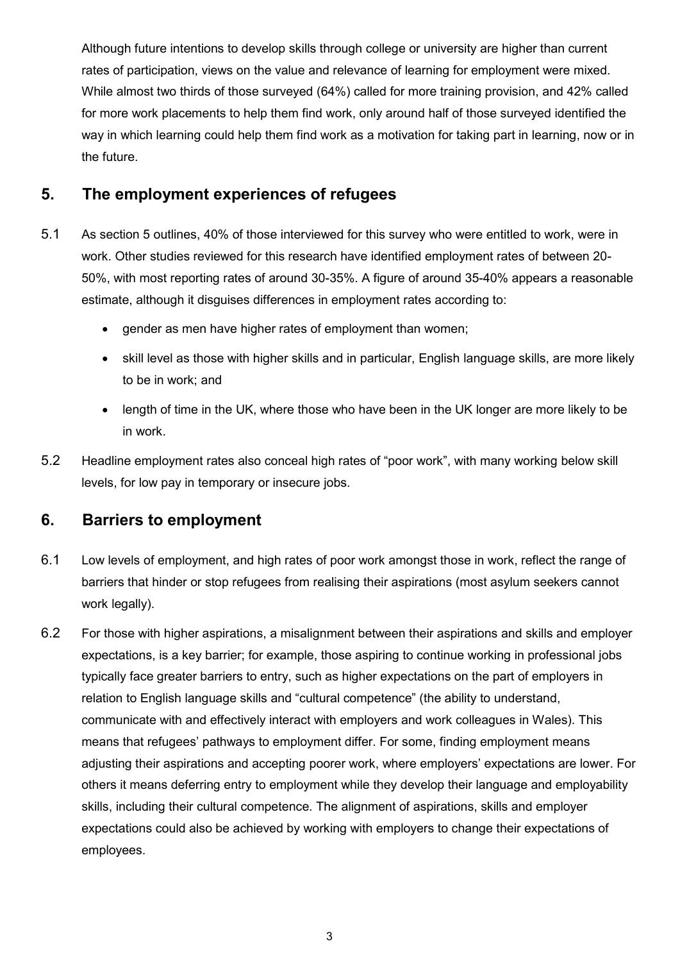Although future intentions to develop skills through college or university are higher than current rates of participation, views on the value and relevance of learning for employment were mixed. While almost two thirds of those surveyed (64%) called for more training provision, and 42% called for more work placements to help them find work, only around half of those surveyed identified the way in which learning could help them find work as a motivation for taking part in learning, now or in the future.

#### **5. The employment experiences of refugees**

- 5.1 As section 5 outlines, 40% of those interviewed for this survey who were entitled to work, were in work. Other studies reviewed for this research have identified employment rates of between 20- 50%, with most reporting rates of around 30-35%. A figure of around 35-40% appears a reasonable estimate, although it disguises differences in employment rates according to:
	- gender as men have higher rates of employment than women;
	- skill level as those with higher skills and in particular, English language skills, are more likely to be in work; and
	- length of time in the UK, where those who have been in the UK longer are more likely to be in work.
- 5.2 Headline employment rates also conceal high rates of "poor work", with many working below skill levels, for low pay in temporary or insecure jobs.

### **6. Barriers to employment**

- 6.1 Low levels of employment, and high rates of poor work amongst those in work, reflect the range of barriers that hinder or stop refugees from realising their aspirations (most asylum seekers cannot work legally).
- 6.2 For those with higher aspirations, a misalignment between their aspirations and skills and employer expectations, is a key barrier; for example, those aspiring to continue working in professional jobs typically face greater barriers to entry, such as higher expectations on the part of employers in relation to English language skills and "cultural competence" (the ability to understand, communicate with and effectively interact with employers and work colleagues in Wales). This means that refugees' pathways to employment differ. For some, finding employment means adjusting their aspirations and accepting poorer work, where employers' expectations are lower. For others it means deferring entry to employment while they develop their language and employability skills, including their cultural competence. The alignment of aspirations, skills and employer expectations could also be achieved by working with employers to change their expectations of employees.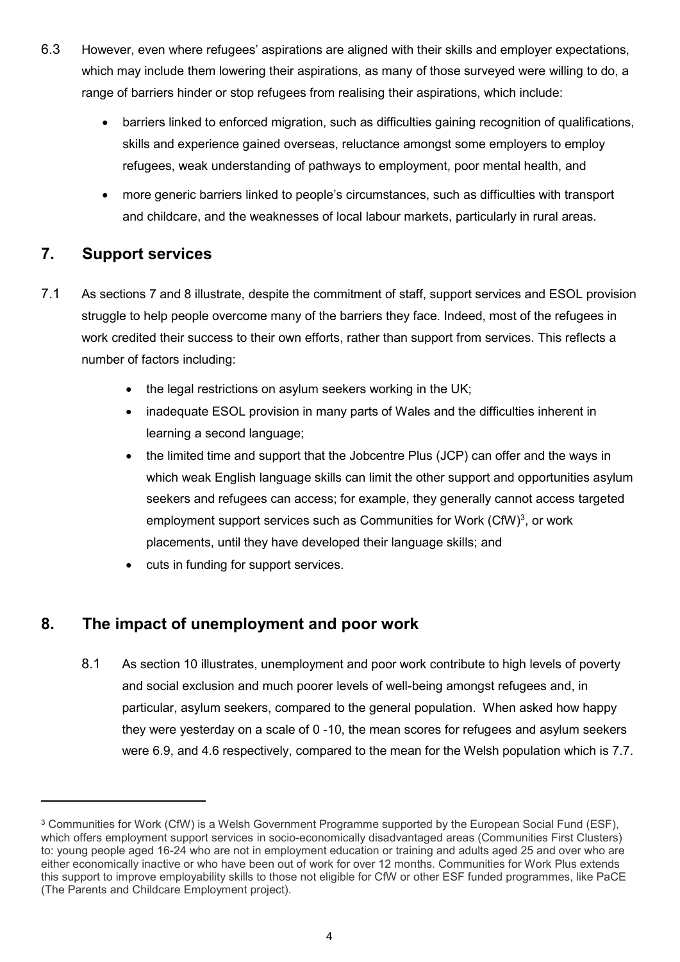- 6.3 However, even where refugees' aspirations are aligned with their skills and employer expectations, which may include them lowering their aspirations, as many of those surveyed were willing to do, a range of barriers hinder or stop refugees from realising their aspirations, which include:
	- barriers linked to enforced migration, such as difficulties gaining recognition of qualifications, skills and experience gained overseas, reluctance amongst some employers to employ refugees, weak understanding of pathways to employment, poor mental health, and
	- more generic barriers linked to people's circumstances, such as difficulties with transport and childcare, and the weaknesses of local labour markets, particularly in rural areas.

## **7. Support services**

 $\overline{\phantom{a}}$ 

- 7.1 As sections 7 and 8 illustrate, despite the commitment of staff, support services and ESOL provision struggle to help people overcome many of the barriers they face. Indeed, most of the refugees in work credited their success to their own efforts, rather than support from services. This reflects a number of factors including:
	- the legal restrictions on asylum seekers working in the UK;
	- inadequate ESOL provision in many parts of Wales and the difficulties inherent in learning a second language;
	- the limited time and support that the Jobcentre Plus (JCP) can offer and the ways in which weak English language skills can limit the other support and opportunities asylum seekers and refugees can access; for example, they generally cannot access targeted employment support services such as Communities for Work  $(CfW)^3$ , or work placements, until they have developed their language skills; and
	- cuts in funding for support services.

### **8. The impact of unemployment and poor work**

8.1 As section 10 illustrates, unemployment and poor work contribute to high levels of poverty and social exclusion and much poorer levels of well-being amongst refugees and, in particular, asylum seekers, compared to the general population. When asked how happy they were yesterday on a scale of 0 -10, the mean scores for refugees and asylum seekers were 6.9, and 4.6 respectively, compared to the mean for the Welsh population which is 7.7.

<sup>3</sup> Communities for Work (CfW) is a Welsh Government Programme supported by the European Social Fund (ESF), which offers employment support services in socio-economically disadvantaged areas (Communities First Clusters) to: young people aged 16-24 who are not in employment education or training and adults aged 25 and over who are either economically inactive or who have been out of work for over 12 months. Communities for Work Plus extends this support to improve employability skills to those not eligible for CfW or other ESF funded programmes, like PaCE (The Parents and Childcare Employment project).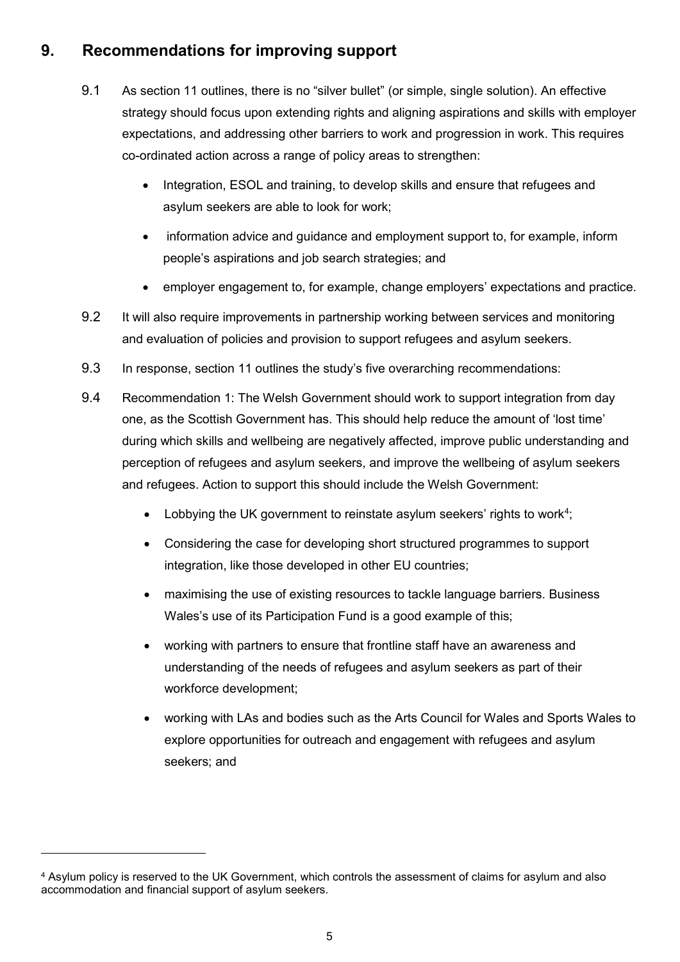### **9. Recommendations for improving support**

- 9.1 As section 11 outlines, there is no "silver bullet" (or simple, single solution). An effective strategy should focus upon extending rights and aligning aspirations and skills with employer expectations, and addressing other barriers to work and progression in work. This requires co-ordinated action across a range of policy areas to strengthen:
	- Integration, ESOL and training, to develop skills and ensure that refugees and asylum seekers are able to look for work;
	- information advice and guidance and employment support to, for example, inform people's aspirations and job search strategies; and
	- employer engagement to, for example, change employers' expectations and practice.
- 9.2 It will also require improvements in partnership working between services and monitoring and evaluation of policies and provision to support refugees and asylum seekers.
- 9.3 In response, section 11 outlines the study's five overarching recommendations:
- 9.4 Recommendation 1: The Welsh Government should work to support integration from day one, as the Scottish Government has. This should help reduce the amount of 'lost time' during which skills and wellbeing are negatively affected, improve public understanding and perception of refugees and asylum seekers, and improve the wellbeing of asylum seekers and refugees. Action to support this should include the Welsh Government:
	- $\bullet$  Lobbying the UK government to reinstate asylum seekers' rights to work<sup>4</sup>;
	- Considering the case for developing short structured programmes to support integration, like those developed in other EU countries;
	- maximising the use of existing resources to tackle language barriers. Business Wales's use of its Participation Fund is a good example of this;
	- working with partners to ensure that frontline staff have an awareness and understanding of the needs of refugees and asylum seekers as part of their workforce development;
	- working with LAs and bodies such as the Arts Council for Wales and Sports Wales to explore opportunities for outreach and engagement with refugees and asylum seekers; and

 $\overline{\phantom{a}}$ 

<sup>4</sup> Asylum policy is reserved to the UK Government, which controls the assessment of claims for asylum and also accommodation and financial support of asylum seekers.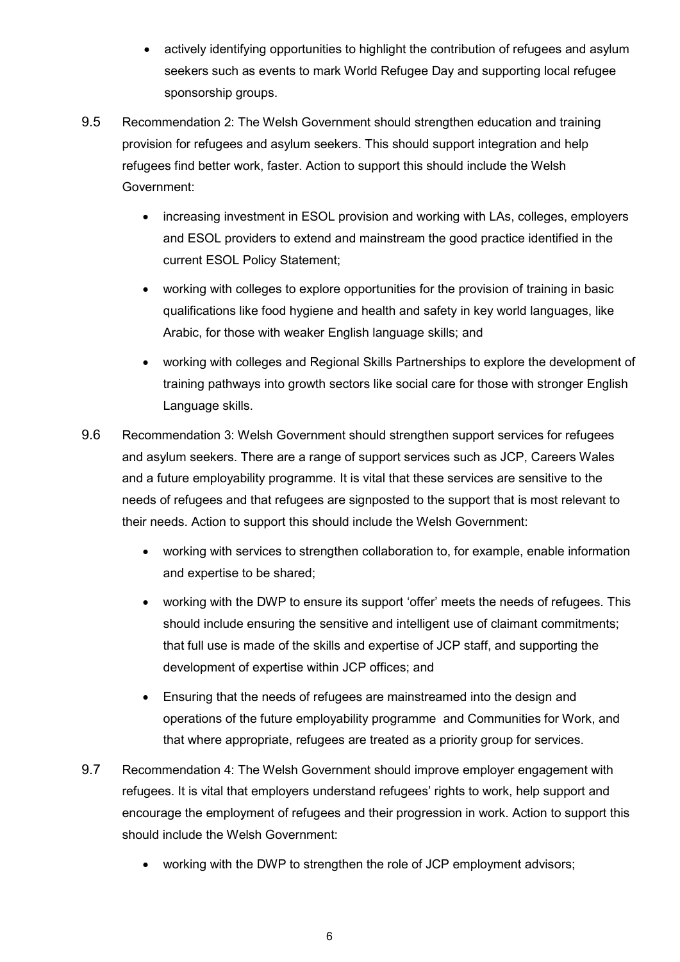- actively identifying opportunities to highlight the contribution of refugees and asylum seekers such as events to mark World Refugee Day and supporting local refugee sponsorship groups.
- 9.5 Recommendation 2: The Welsh Government should strengthen education and training provision for refugees and asylum seekers. This should support integration and help refugees find better work, faster. Action to support this should include the Welsh Government:
	- increasing investment in ESOL provision and working with LAs, colleges, employers and ESOL providers to extend and mainstream the good practice identified in the current ESOL Policy Statement;
	- working with colleges to explore opportunities for the provision of training in basic qualifications like food hygiene and health and safety in key world languages, like Arabic, for those with weaker English language skills; and
	- working with colleges and Regional Skills Partnerships to explore the development of training pathways into growth sectors like social care for those with stronger English Language skills.
- 9.6 Recommendation 3: Welsh Government should strengthen support services for refugees and asylum seekers. There are a range of support services such as JCP, Careers Wales and a future employability programme. It is vital that these services are sensitive to the needs of refugees and that refugees are signposted to the support that is most relevant to their needs. Action to support this should include the Welsh Government:
	- working with services to strengthen collaboration to, for example, enable information and expertise to be shared;
	- working with the DWP to ensure its support 'offer' meets the needs of refugees. This should include ensuring the sensitive and intelligent use of claimant commitments; that full use is made of the skills and expertise of JCP staff, and supporting the development of expertise within JCP offices; and
	- Ensuring that the needs of refugees are mainstreamed into the design and operations of the future employability programme and Communities for Work, and that where appropriate, refugees are treated as a priority group for services.
- 9.7 Recommendation 4: The Welsh Government should improve employer engagement with refugees. It is vital that employers understand refugees' rights to work, help support and encourage the employment of refugees and their progression in work. Action to support this should include the Welsh Government:
	- working with the DWP to strengthen the role of JCP employment advisors;